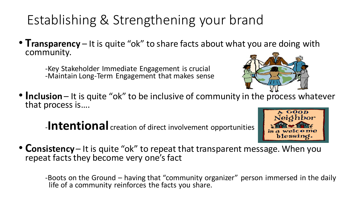## Establishing & Strengthening your brand

• **Transparency** – It is quite "ok" to share facts about what you are doing with community.

-Key Stakeholder Immediate Engagement is crucial -Maintain Long-Term Engagement that makes sense



• **Inclusion** – It is quite "ok" to be inclusive of community in the process whatever that process is….

-**Intentional** creation of direct involvement opportunities



• **Consistency** – It is quite "ok" to repeat that transparent message. When you repeat facts they become very one's fact

-Boots on the Ground – having that "community organizer" person immersed in the daily life of a community reinforces the facts you share.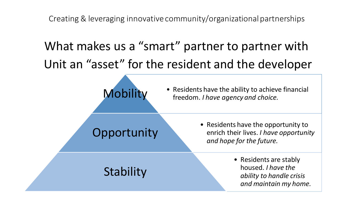Creating & leveraging innovative community/organizational partnerships

## What makes us a "smart" partner to partner with Unit an "asset" for the resident and the developer



## **Opportunity**

• Residents have the opportunity to enrich their lives. *I have opportunity and hope for the future.*

**Stability** 

• Residents are stably housed. *I have the ability to handle crisis and maintain my home.*